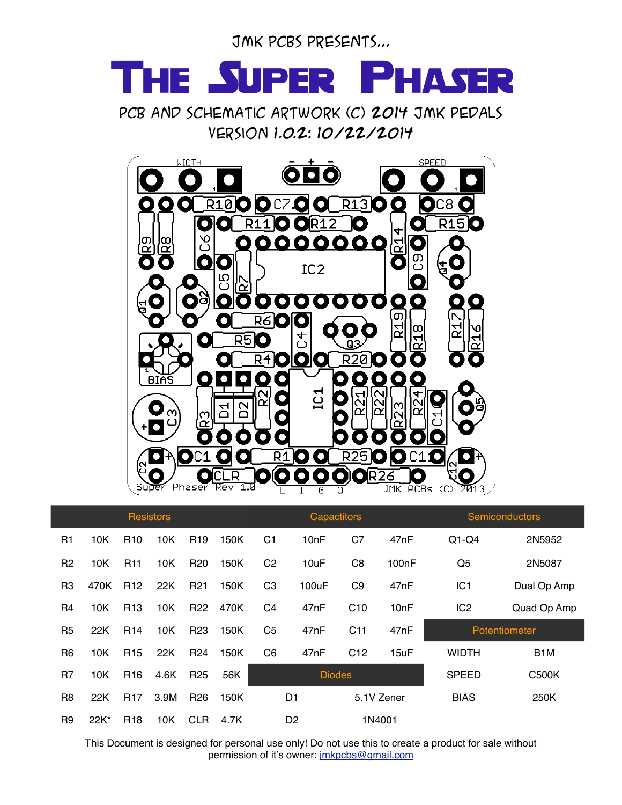JMK PCBs presents...

## The Super Phaser

PCB AND SCHEMATIC ARTWORK (C) 2014 JMK PEDALS Version 1.0.2: 10/22/2014



| <b>Resistors</b> |      |                 |      |                 |      | <b>Capactitors</b> |                   |                 |                    | <b>Semiconductors</b> |                  |
|------------------|------|-----------------|------|-----------------|------|--------------------|-------------------|-----------------|--------------------|-----------------------|------------------|
| R1               | 10K  | R <sub>10</sub> | 10K  | R <sub>19</sub> | 150K | C <sub>1</sub>     | 10 <sub>n</sub> F | C7              | 47nF               | $Q1-Q4$               | 2N5952           |
| R <sub>2</sub>   | 10K  | <b>R11</b>      | 10K  | R <sub>20</sub> | 150K | C <sub>2</sub>     | 10uF              | C <sub>8</sub>  | 100 <sub>n</sub> F | Q <sub>5</sub>        | 2N5087           |
| R <sub>3</sub>   | 470K | R <sub>12</sub> | 22K  | R <sub>21</sub> | 150K | C <sub>3</sub>     | 100uF             | C <sub>9</sub>  | 47nF               | IC1                   | Dual Op Amp      |
| R <sub>4</sub>   | 10K  | R <sub>13</sub> | 10K  | R <sub>22</sub> | 470K | C <sub>4</sub>     | 47nF              | C10             | 10nF               | IC <sub>2</sub>       | Quad Op Amp      |
| R <sub>5</sub>   | 22K  | R <sub>14</sub> | 10K  | R <sub>23</sub> | 150K | C <sub>5</sub>     | 47nF              | C11             | 47nF               | Potentiometer         |                  |
| R <sub>6</sub>   | 10K  | R <sub>15</sub> | 22K  | R <sub>24</sub> | 150K | C <sub>6</sub>     | 47nF              | C <sub>12</sub> | 15uF               | <b>WIDTH</b>          | B <sub>1</sub> M |
|                  |      |                 |      |                 |      | <b>Diodes</b>      |                   |                 |                    |                       |                  |
| R <sub>7</sub>   | 10K  | R <sub>16</sub> | 4.6K | R <sub>25</sub> | 56K  |                    |                   |                 |                    | <b>SPEED</b>          | <b>C500K</b>     |
| R <sub>8</sub>   | 22K  | <b>R17</b>      | 3.9M | R <sub>26</sub> | 150K |                    | D1                |                 | 5.1V Zener         | <b>BIAS</b>           | 250K             |

This Document is designed for personal use only! Do not use this to create a product for sale without permission of it's owner: [jmkpcbs@gmail.com](mailto:jacobkokura@gmail.com)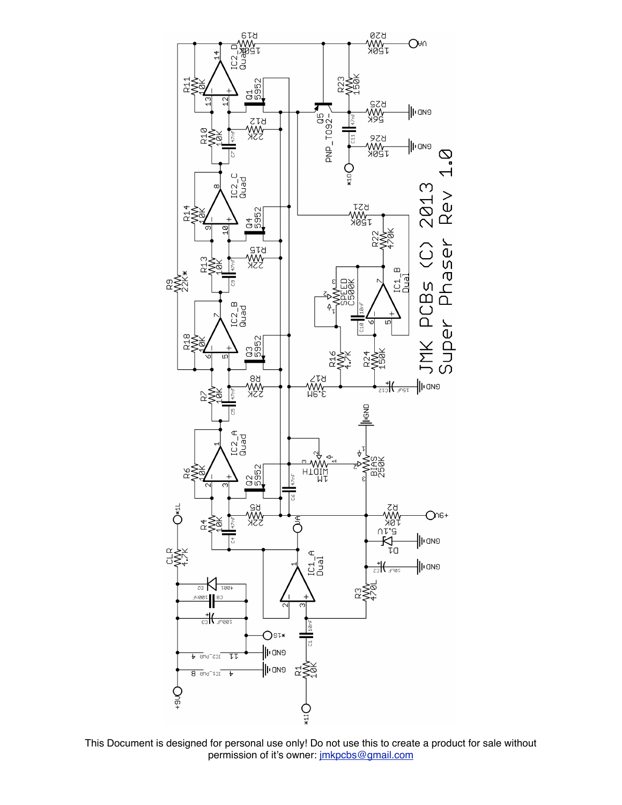

This Document is designed for personal use only! Do not use this to create a product for sale without permission of it's owner: [jmkpcbs@gmail.com](mailto:jacobkokura@gmail.com)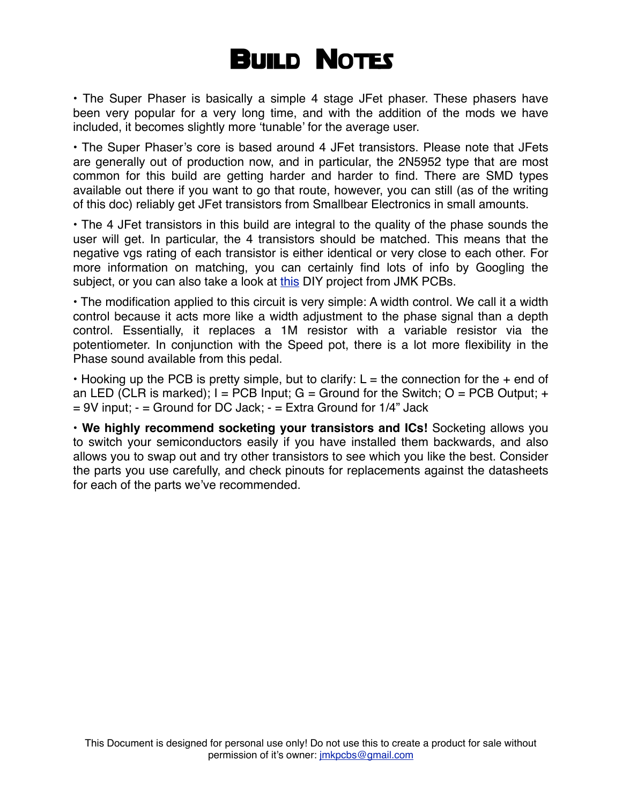## **BUILD NOTES**

• The Super Phaser is basically a simple 4 stage JFet phaser. These phasers have been very popular for a very long time, and with the addition of the mods we have included, it becomes slightly more 'tunable' for the average user.

• The Super Phaser's core is based around 4 JFet transistors. Please note that JFets are generally out of production now, and in particular, the 2N5952 type that are most common for this build are getting harder and harder to find. There are SMD types available out there if you want to go that route, however, you can still (as of the writing of this doc) reliably get JFet transistors from Smallbear Electronics in small amounts.

• The 4 JFet transistors in this build are integral to the quality of the phase sounds the user will get. In particular, the 4 transistors should be matched. This means that the negative vgs rating of each transistor is either identical or very close to each other. For more information on matching, you can certainly find lots of info by Googling the subject, or you can also take a look at [this](http://www.jmkpcbs.com/JMK_PCBs/DIY_Projects_files/JFET%20Matcher.pdf) DIY project from JMK PCBs.

• The modification applied to this circuit is very simple: A width control. We call it a width control because it acts more like a width adjustment to the phase signal than a depth control. Essentially, it replaces a 1M resistor with a variable resistor via the potentiometer. In conjunction with the Speed pot, there is a lot more flexibility in the Phase sound available from this pedal.

• Hooking up the PCB is pretty simple, but to clarify:  $L =$  the connection for the  $+$  end of an LED (CLR is marked);  $I = PCB$  Input;  $G =$  Ground for the Switch;  $O = PCB$  Output;  $+$  $= 9V$  input;  $- =$  Ground for DC Jack;  $- =$  Extra Ground for 1/4" Jack

• **We highly recommend socketing your transistors and ICs!** Socketing allows you to switch your semiconductors easily if you have installed them backwards, and also allows you to swap out and try other transistors to see which you like the best. Consider the parts you use carefully, and check pinouts for replacements against the datasheets for each of the parts we've recommended.